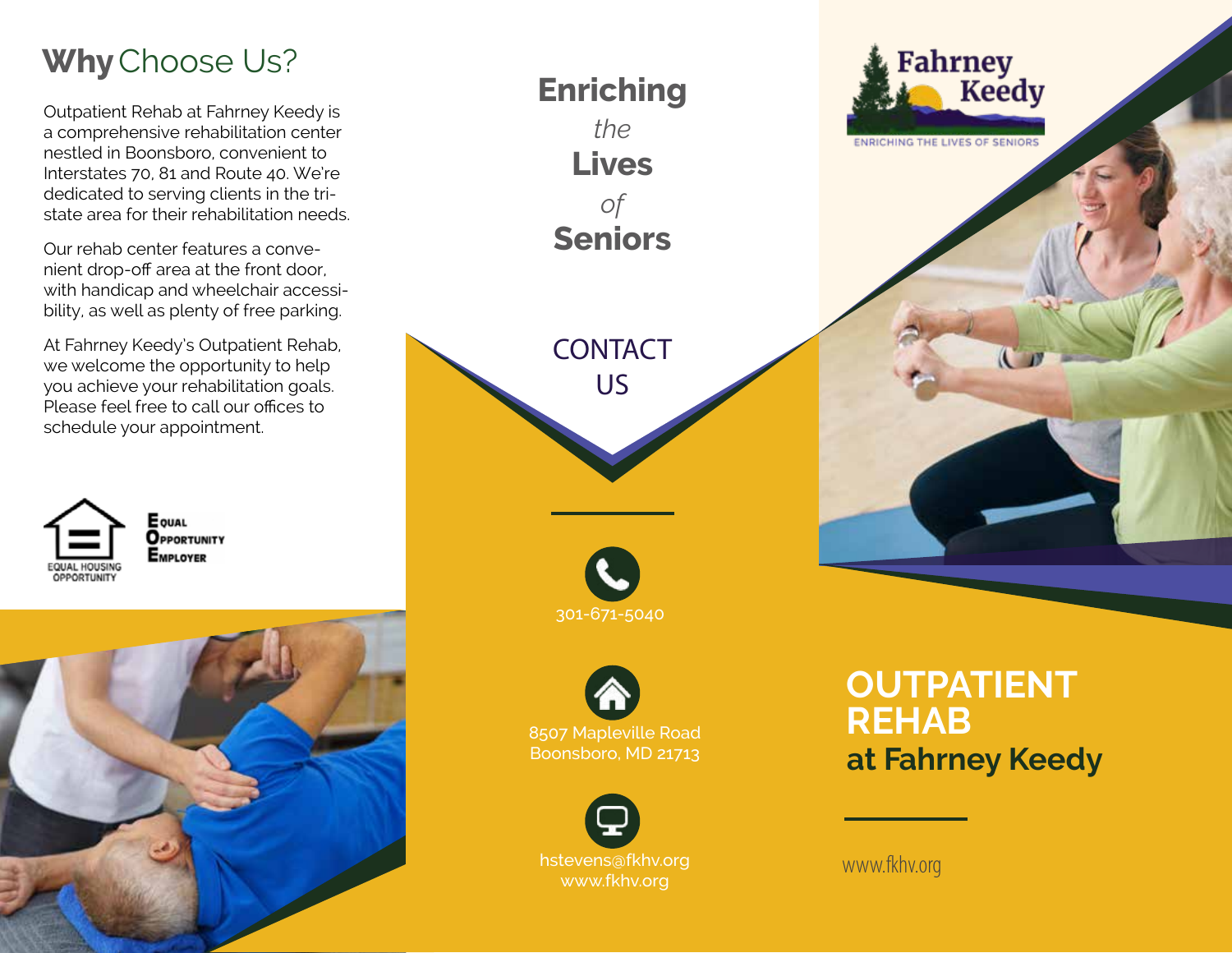## **Why**Choose Us?

Outpatient Rehab at Fahrney Keedy is a comprehensive rehabilitation center nestled in Boonsboro, convenient to Interstates 70, 81 and Route 40. We're dedicated to serving clients in the tristate area for their rehabilitation needs.

Our rehab center features a convenient drop-off area at the front door, with handicap and wheelchair accessibility, as well as plenty of free parking.

At Fahrney Keedy's Outpatient Rehab, we welcome the opportunity to help you achieve your rehabilitation goals. Please feel free to call our offices to schedule your appointment.







www.fkhv.org

www.fkhv.org